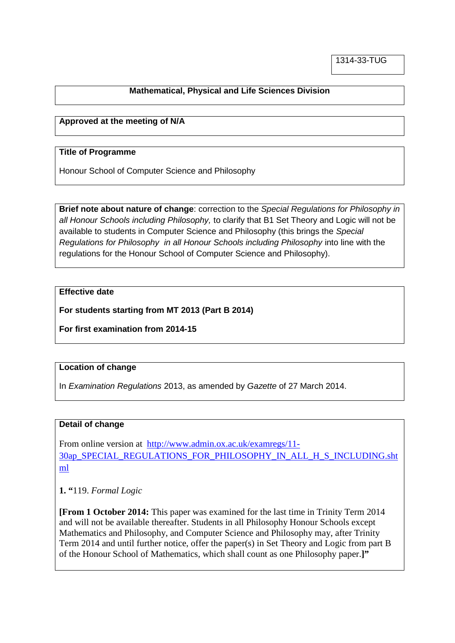# **Mathematical, Physical and Life Sciences Division**

### **Approved at the meeting of N/A**

#### **Title of Programme**

Honour School of Computer Science and Philosophy

**Brief note about nature of change**: correction to the *Special Regulations for Philosophy in all Honour Schools including Philosophy,* to clarify that B1 Set Theory and Logic will not be available to students in Computer Science and Philosophy (this brings the *Special Regulations for Philosophy in all Honour Schools including Philosophy* into line with the regulations for the Honour School of Computer Science and Philosophy).

#### **Effective date**

**For students starting from MT 2013 (Part B 2014)**

**For first examination from 2014-15**

#### **Location of change**

In *Examination Regulations* 2013, as amended by *Gazette* of 27 March 2014.

## **Detail of change**

From online version at [http://www.admin.ox.ac.uk/examregs/11-](http://www.admin.ox.ac.uk/examregs/11-30ap_SPECIAL_REGULATIONS_FOR_PHILOSOPHY_IN_ALL_H_S_INCLUDING.shtml) [30ap\\_SPECIAL\\_REGULATIONS\\_FOR\\_PHILOSOPHY\\_IN\\_ALL\\_H\\_S\\_INCLUDING.sht](http://www.admin.ox.ac.uk/examregs/11-30ap_SPECIAL_REGULATIONS_FOR_PHILOSOPHY_IN_ALL_H_S_INCLUDING.shtml) [ml](http://www.admin.ox.ac.uk/examregs/11-30ap_SPECIAL_REGULATIONS_FOR_PHILOSOPHY_IN_ALL_H_S_INCLUDING.shtml)

**1. "**119. *Formal Logic*

**[From 1 October 2014:** This paper was examined for the last time in Trinity Term 2014 and will not be available thereafter. Students in all Philosophy Honour Schools except Mathematics and Philosophy, and Computer Science and Philosophy may, after Trinity Term 2014 and until further notice, offer the paper(s) in Set Theory and Logic from part B of the Honour School of Mathematics, which shall count as one Philosophy paper.**]"**